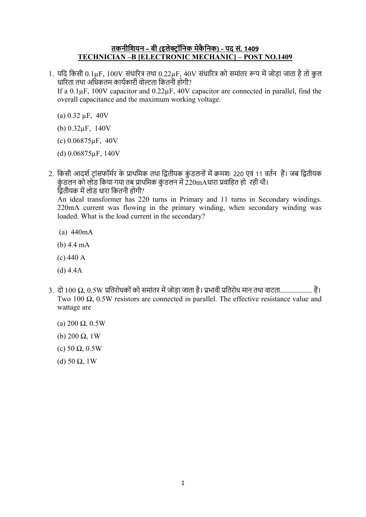## तकनीशियन – बी (इलेक्टॉनिक मेकैनिक) - पद सं. 1409 TECHNICIAN –B [ELECTRONIC MECHANIC] – POST NO.1409

1. यदि किसी 0.1µF, 100V संधारित्र तथा 0.22µF, 40V संधारित्र को समांतर रूप में जोड़ा जाता है तो कुल धारिता तथा अधिकतम कार्यकारी वोल्टता कितनी होगी?

If a 0.1µF, 100V capacitor and 0.22µF, 40V capacitor are connected in parallel, find the overall capacitance and the maximum working voltage.

- (a)  $0.32 \mu$ F,  $40V$
- (b) 0.32µF, 140V
- (c) 0.06875µF, 40V
- (d) 0.06875µF, 140V

2. किसी आदर्श टांसफॉर्मर के प्राथमिक तथा द्वितीयक कुंडलनों में क्रमशः 220 एवं 11 वर्तन हैं। जब द्वितीयक कुंडलन को लोड किया गया तब प्राथमिक कुंडलन में 220mAधारा प्रवाहित हो रही थी। द्वितीयक में लोड धारा कितनी होगी? An ideal transformer has 220 turns in Primary and 11 turns in Secondary windings. 220mA current was flowing in the primary winding, when secondary winding was loaded. What is the load current in the secondary?

- (a) 440mA
- (b) 4.4 mA
- (c) 440 A
- (d) 4.4A
- 3. दो 100 Ω, 0.5W ितरोधकों को समांतर म जोड़ा जाता है। भावी ितरोध मान तथा वाटता....................... ह। Two 100  $\Omega$ , 0.5W resistors are connected in parallel. The effective resistance value and wattage are
	- (a) 200 Ω, 0.5W
	- (b) 200  $Ω$ , 1W
	- (c) 50 Ω, 0.5W
	- (d) 50  $\Omega$ , 1W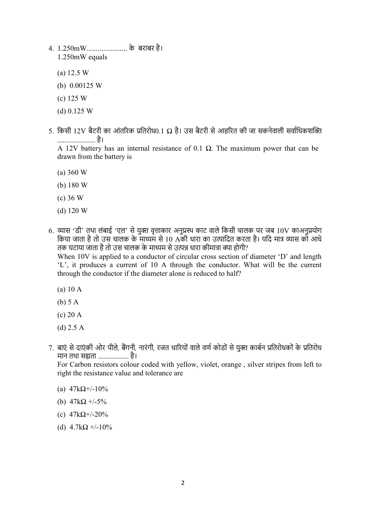- 4. 1.250mW...................... के बराबर है। 1.250mW equals
	- (a) 12.5 W
	- (b) 0.00125 W
	- (c) 125 W
	- (d) 0.125 W
- 5. किसी 12V बैटरी का आंतरिक प्रतिरोध0.1  $\Omega$  है। उस बैटरी से आहरित की जा सकनेवाली सर्वाधिकशक्ति ........................... है।

A 12V battery has an internal resistance of 0.1  $\Omega$ . The maximum power that can be drawn from the battery is

- (a) 360 W
- (b) 180 W
- (c) 36 W
- (d) 120 W
- 6. व्यास 'डी' तथा लंबाई 'एल' से युक्त वृत्ताकार अनुप्रस्थ काट वाले किसी चालक पर जब 10V काअनप्रयोग िक या जाता है तो उस चालक के माध्यम से 10 Aकी धारा का उत्पादित करता है। यदि मात्र व्यास को आधे तक घटाया जाता है तो उस चालक के माध्यम से उत्पन्न धारा कीमात्रा क्या होगी? When 10V is applied to a conductor of circular cross section of diameter 'D' and length 'L', it produces a current of 10 A through the conductor. What will be the current through the conductor if the diameter alone is reduced to half?
	- (a) 10 A
	- (b) 5 A
	- (c) 20 A
	- (d) 2.5 A
- 7. बाएं से दाएंकी ओर पीले, बैंगनी, नारंगी, रजत धारियों वाले वर्ण कोडों से युक्त कार्बन प्रतिरोधकों के प्रतिरोध मान तथा सह्यता ....................... है।

For Carbon resistors colour coded with yellow, violet, orange , silver stripes from left to right the resistance value and tolerance are

- (a)  $47kΩ$ +/-10%
- (b)  $47k\Omega + 5\%$
- (c) 47kΩ+/-20%
- (d)  $4.7k\Omega +10\%$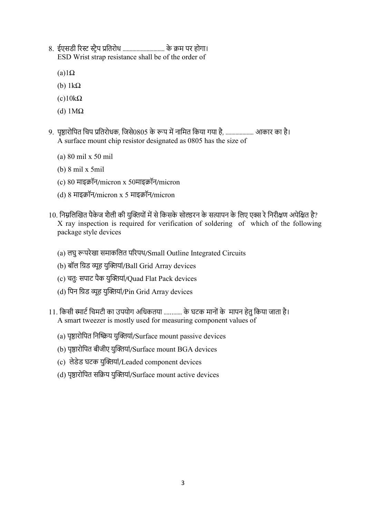- 8. ईएसडी रिस्ट स्ट्रैप प्रतिरोध ................................. के क्रम पर होगा। ESD Wrist strap resistance shall be of the order of
	- $(a)1\Omega$
	- (b) 1kΩ
	- $(c)10k\Omega$
	- (d) 1MΩ
- 9. पृष्ठारोपित चिप प्रतिरोधक, जिसे0805 के रूप में नामित किया गया है, ..................... आकार का है। A surface mount chip resistor designated as 0805 has the size of
	- (a) 80 mil x 50 mil
	- (b) 8 mil x 5mil
	- (c) 80 माइॉन/micron x 50माइॉन/micron
	- (d)  $8 \text{ H}$ इक्रॉन/micron x 5 माइक्रॉन/micron
- 10. निम्नलिखित पैकेज शैली की यक्तियों में से किसके सोल्डरन के सत्यापन के लिए एक्स रे निरीक्षण अपेक्षित है? X ray inspection is required for verification of soldering of which of the following package style devices
	- (a) लघु परेखा समाकिलत परपथ/Small Outline Integrated Circuits
	- (b) बॉल ग्रिड व्यूह युक्तियां/Ball Grid Array devices
	- (c) चतुः सपाट पैक युयां/Quad Flat Pack devices
	- (d) पिन ग्रिड व्यूह युक्तियां/Pin Grid Array devices
- 11. किसी स्मार्ट चिमटी का उपयोग अधिकतया ............ के घटक मानों के मापन हेतु किया जाता है। A smart tweezer is mostly used for measuring component values of
	- (a) पृष्ठारोपित निष्क्रिय युक्तियां/Surface mount passive devices
	- (b) पृष्ठारोपित बीजीए युक्तियां/Surface mount BGA devices
	- (c) लेडेड घटक युयां/Leaded component devices
	- (d) पृष्ठारोपित सक्रिय युक्तियां/Surface mount active devices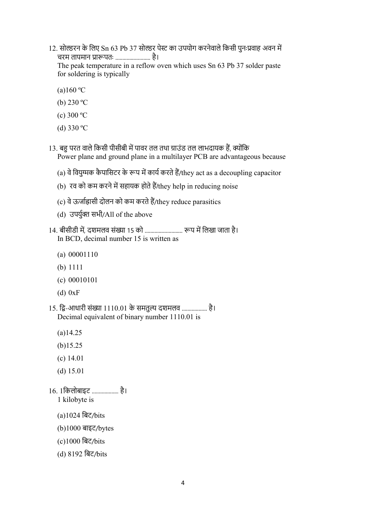- 12. सोल्डरन के लिए Sn 63 Pb 37 सोल्डर पेस्ट का उपयोग करनेवाले किसी पुनःप्रवाह अवन में चरम तापमान प्रारूपतः ........................... है। The peak temperature in a reflow oven which uses Sn 63 Pb 37 solder paste for soldering is typically
	- $(a)160 °C$
	- (b) 230 ºC
	- (c) 300 ºC
	- (d) 330 ºC
- 13. बहु परत वाले किसी पीसीबी में पावर तल तथा ग्राउंड तल लाभदायक हैं, क्योंकि Power plane and ground plane in a multilayer PCB are advantageous because
	- (a) वे वियुग्मक कैपासिटर के रूप में कार्य करते हैं/they act as a decoupling capacitor
	- (b) रव को कम करने में सहायक होते हैं/they help in reducing noise
	- $(c)$  वे ऊर्जाह्रासी दोलन को कम करते हैं/they reduce parasitics
	- (d) उपर्युक्त सभी/All of the above
- 14. बीसीडी में, दशमलव संख्या 15 को ................................. रूप में लिखा जाता है। In BCD, decimal number 15 is written as
	- (a) 00001110
	- (b) 1111
	- (c) 00010101
	- (d) 0xF
- $15.$  द्वि-आधारी संख्या  $1110.01$  के समतुल्य दशमलव ................... है। Decimal equivalent of binary number 1110.01 is
	- (a)14.25
	- (b)15.25
	- (c) 14.01
	- (d) 15.01
- 16. 1िकलोबाइट ................... है।
	- 1 kilobyte is
	- (a)1024 िबट/bits
	- (b)1000 बाइट/bytes
	- (c)1000 िबट/bits
	- (d) 8192 िबट/bits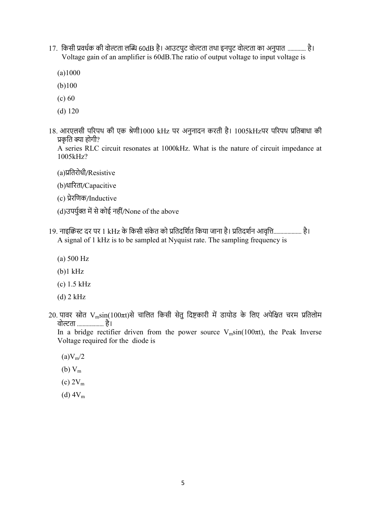- 17. किसी प्रवर्धक की वोल्टता लब्धि 60dB है। आउटपुट वोल्टता तथा इनपुट वोल्टता का अनुपात .............. है। Voltage gain of an amplifier is 60dB.The ratio of output voltage to input voltage is
	- (a)1000
	- (b)100
	- (c) 60
	- (d) 120
- $18.$  आरएलसी परिपथ की एक श्रेणी $1000$  kHz पर अनुनादन करती है।  $1005\text{kHz}$ पर परिपथ प्रतिबाधा की प्रकृति क्या होगी?

A series RLC circuit resonates at 1000kHz. What is the nature of circuit impedance at 1005kHz?

(a)ितरोधी/Resistive

(b)धारता/Capacitive

- (c) ेरिणक/Inductive
- (d)उपर्युक्त में से कोई नहीं/None of the above
- 19. नाइक्रिस्ट दर पर 1 kHz के किसी संकेत को प्रतिदर्शित किया जाना है। प्रतिदर्शन आवृत्ति..................... है। A signal of 1 kHz is to be sampled at Nyquist rate. The sampling frequency is
	- (a) 500 Hz
	- (b)1 kHz
	- (c) 1.5 kHz
	- (d) 2 kHz
- 20. पावर स्रोत V<sub>m</sub>sin(100πt)से चालित किसी सेतु दिष्टकारी में डायोड के लिए अपेक्षित चरम प्रतिलोम वोल्टता .................... है।

In a bridge rectifier driven from the power source  $V_m\sin(100\pi t)$ , the Peak Inverse Voltage required for the diode is

- $(a)V_m/2$
- (b)  $V_m$
- $(c) 2V_m$
- $(d) 4V<sub>m</sub>$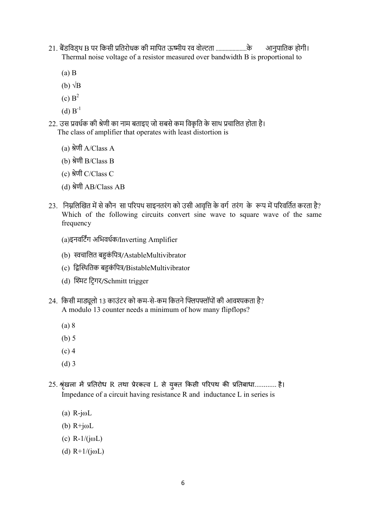- 21. बैंडविड्थ B पर किसी प्रतिरोधक की मापित ऊष्मीय रव वोल्टता .........................के आनुपातिक होगी। Thermal noise voltage of a resistor measured over bandwidth B is proportional to
	- (a) B
	- (b)  $\sqrt{\text{B}}$
	- $(c) B<sup>2</sup>$
	- $(d) B^{-1}$
- 22. उस प्रवर्धक की श्रेणी का नाम बताइए जो सबसे कम विकृति के साथ प्रचालित होता है। The class of amplifier that operates with least distortion is
	- (a) श्रेणी  $A/Class A$
	- (b) श्रेणी  $B/Class B$
	- (c) श्रेणी  $C/C$ lass  $C$
	- (d) ेणी AB/Class AB
- 23. निम्नलिखित में से कौन सा परिपथ साइनतरंग को उसी आवृत्ति के वर्ग तरंग के रूप में परिवर्तित करता है? Which of the following circuits convert sine wave to square wave of the same frequency
	- (a)इनविटग अिभवधक/Inverting Amplifier
	- (b) स्वचालित बहुकंपित्र/AstableMultivibrator
	- (c) द्विस्थितिक बहुकंपित्र/BistableMultivibrator
	- (d) श्मिट टिगर/Schmitt trigger
- 24. किसी माड्यलो 13 काउंटर को कम-से-कम कितने फ्लिपफ्लॉपों की आवश्यकता है? A modulo 13 counter needs a minimum of how many flipflops?
	- (a) 8
	- (b) 5
	- (c) 4
	- (d) 3
- 25. श्रृंखला में प्रतिरोध R तथा प्रेरकत्व L से युक्त किसी परिपथ की प्रतिबाधा............. है। Impedance of a circuit having resistance R and inductance L in series is
	- (a) R-jωL
	- (b)  $R+j\omega L$
	- (c) R-1/(jωL)
	- (d)  $R+1/(j\omega L)$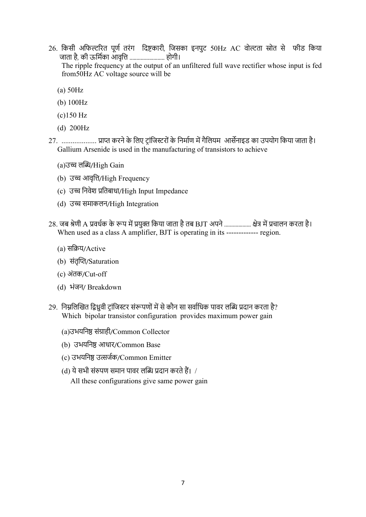- 26. किसी अफिल्टरित पूर्ण तरंग दिष्टकारी, जिसका इनपुट 50Hz AC वोल्टता स्रोत से फीड किया जाता है, की ऊर्मिका आवृत्ति ............................ होगी। The ripple frequency at the output of an unfiltered full wave rectifier whose input is fed from50Hz AC voltage source will be
	- (a) 50Hz
	- (b) 100Hz
	- (c)150 Hz
	- (d) 200Hz
- 27. .................... प्राप्त करने के लिए ट्रांजिस्टरों के निर्माण में गैलियम आर्सेनाइड का उपयोग किया जाता है। Gallium Arsenide is used in the manufacturing of transistors to achieve
	- (a)उच्च लब्धि/High Gain
	- (b) उच्च आवृत्ति/High Frequency
	- (c) उच्च निवेश प्रतिबाधा/High Input Impedance
	- (d) उ समाकलन/High Integration
- 28. जब श्रेणी A प्रवर्धक के रूप में प्रयुक्त किया जाता है तब BJT अपने ................... क्षेत्र में प्रचालन करता है। When used as a class A amplifier, BJT is operating in its -------------- region.
	- (a) सिय/Active
	- (b) संतृप्ति/Saturation
	- (c) अंतक/Cut-off
	- (d) भंजन/ Breakdown
- 29. निम्नलिखित द्विध्रवी टांजिस्टर संरूपणों में से कौन सा सर्वाधिक पावर लब्धि प्रदान करता है? Which bipolar transistor configuration provides maximum power gain
	- (a)उभयनिष्ठ संग्राही/Common Collector
	- (b) उभयनिष्ठ आधार/Common Base
	- (c) उभयनिष्ठ उत्सर्जक/Common Emitter
	- (d) ये सभी संरुपण समान पावर लब्धि प्रदान करते हैं। /

All these configurations give same power gain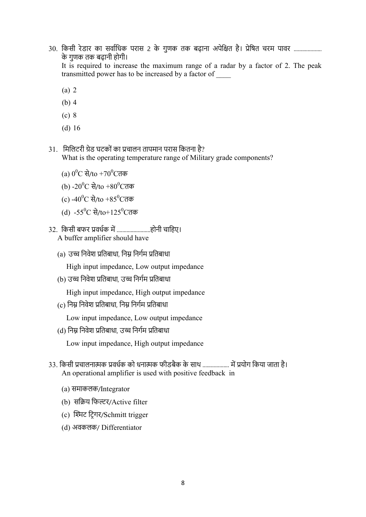30. किसी रेडार का सर्वाधिक परास 2 के गुणक तक बढ़ाना अपेक्षित है। प्रेषित चरम पावर ...................... के गुणक तक बढ़ानी होगी।

It is required to increase the maximum range of a radar by a factor of 2. The peak transmitted power has to be increased by a factor of \_\_\_\_

- (a) 2
- (b) 4
- (c) 8
- (d) 16
- 31. मिलिटरी ग्रेड घटकों का प्रचालन तापमान परास कितना है? What is the operating temperature range of Military grade components?
	- (a)  $0^0$ C से/to +70 $^0$ Cतक
	- (b) -20 $^0\mathrm{C}$  से/to +80 $^0\mathrm{C}$ तक
	- (c) -40 $^0\mathrm{C}$  से/to +85 $^0\mathrm{C}$ तक
	- (d) -55 $^0$ C से/to+125 $^0$ Cतक
- 32. िकसी बफर वधक म ........................होनी चािहए। A buffer amplifier should have
	- (a) उच्च निवेश प्रतिबाधा, निम्न निर्गम प्रतिबाधा

High input impedance, Low output impedance

(b) उच्च निवेश प्रतिबाधा, उच्च निर्गम प्रतिबाधा

High input impedance, High output impedance

(c) निम्न निवेश प्रतिबाधा, निम्न निर्गम प्रतिबाधा

Low input impedance, Low output impedance

(d) निम्न निवेश प्रतिबाधा, उच्च निर्गम प्रतिबाधा

Low input impedance, High output impedance

- 33. किसी प्रचालनात्मक प्रवर्धक को धनात्मक फीडबैक के साथ .................... में प्रयोग किया जाता है। An operational amplifier is used with positive feedback in
	- (a) समाकलक/Integrator
	- (b) सक्रिय फिल्टर/Active filter
	- (c) श्मिट टिगर/Schmitt trigger
	- (d) अवकलक/ Differentiator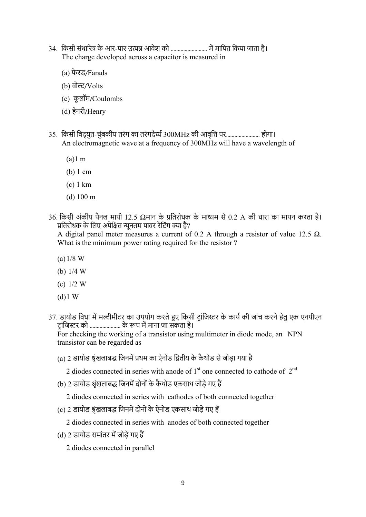- 34. किसी संधारित्र के आर-पार उत्पन्न आवेश को ............................. में मापित किया जाता है। The charge developed across a capacitor is measured in
	- (a) फे रड/Farads
	- (b) वोल्ट/Volts
	- (c) कू लॉम/Coulombs
	- (d) हेनरी/Henry
- 35. किसी विद्युत-चुंबकीय तरंग का तरंगदैर्घ्य 300MHz की आवृत्ति पर............................ होगा। An electromagnetic wave at a frequency of 300MHz will have a wavelength of
	- (a)1 m
	- (b) 1 cm
	- (c) 1 km
	- (d) 100 m
- 36. किसी अंकीय पैनल मापी 12.5  $\Omega$ मान के प्रतिरोधक के माध्यम से 0.2 A की धारा का मापन करता है। प्रतिरोधक के लिए अपेक्षित न्यनतम पावर रेटिंग क्या है?

A digital panel meter measures a current of 0.2 A through a resistor of value 12.5  $\Omega$ . What is the minimum power rating required for the resistor ?

- (a)1/8 W
- (b) 1/4 W
- (c) 1/2 W
- (d)1 W
- 37. डायोड विधा में मल्टीमीटर का उपयोग करते हुए किसी टांजिस्टर के कार्य की जांच करने हेतु एक एनपीएन टांजिस्टर को ........................ के रूप में माना जा सकता है।

For checking the working of a transistor using multimeter in diode mode, an NPN transistor can be regarded as

- (a) 2 डायोड श्रृंखलाबद्ध जिनमें प्रथम का ऐनोड द्वितीय के कैथोड से जोड़ा गया है
	- 2 diodes connected in series with anode of  $1<sup>st</sup>$  one connected to cathode of  $2<sup>nd</sup>$
- (b) 2 डायोड श्रंखलाबद्ध जिनमें दोनों के कैथोड एकसाथ जोड़े गए हैं
	- 2 diodes connected in series with cathodes of both connected together
- (c) 2 डायोड श्रृंखलाबद्ध जिनमें दोनों के ऐनोड एकसाथ जोड़े गए हैं
	- 2 diodes connected in series with anodes of both connected together
- (d) 2 डायोड समांतर में जोड़े गए हैं
	- 2 diodes connected in parallel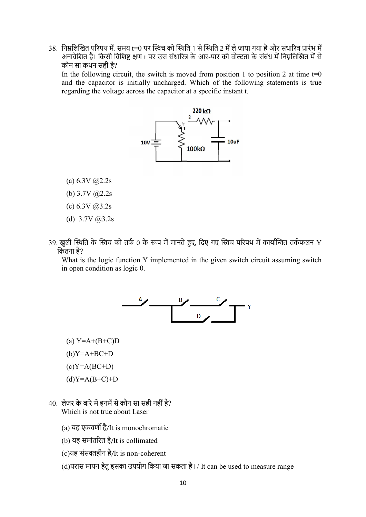38. निम्नलिखित परिपथ में, समय t=0 पर स्विच को स्थिति 1 से स्थिति 2 में ले जाया गया है और संधारित्र प्रारंभ में अनावेशित है। किसी विशिष्ट क्षण t पर उस संधारित्र के आर-पार की वोल्टता के संबंध में निम्नलिखित में से कौन सा कथन सही है?

In the following circuit, the switch is moved from position 1 to position 2 at time  $t=0$ and the capacitor is initially uncharged. Which of the following statements is true regarding the voltage across the capacitor at a specific instant t.



- (a)  $6.3V$   $\omega$ <sub>2.2s</sub>
- (b) 3.7V @2.2s
- $(c) 6.3V (a)3.2s$
- (d)  $3.7V$   $(a)3.2s$
- 39. खुली स्थिति के स्विच को तर्क 0 के रूप में मानते हुए, दिए गए स्विच परिपथ में कार्यान्वित तर्कफलन Y कितना है?

What is the logic function Y implemented in the given switch circuit assuming switch in open condition as logic 0.



- $(a)$  Y=A+ $(B+C)D$
- $(b)Y=A+BC+D$
- $(c)Y=A(BC+D)$
- $(d)Y=A(B+C)+D$
- $40.$  लेजर के बारे में इनमें से कौन सा सही नहीं है? Which is not true about Laser
	- (a) यह एकवण है/It is monochromatic
	- (b) यह समांतरत है/It is collimated
	- (c)यह संसहीन है/It is non-coherent
	- (d)परास मापन हेतु इसका उपयोग किया जा सकता है। / It can be used to measure range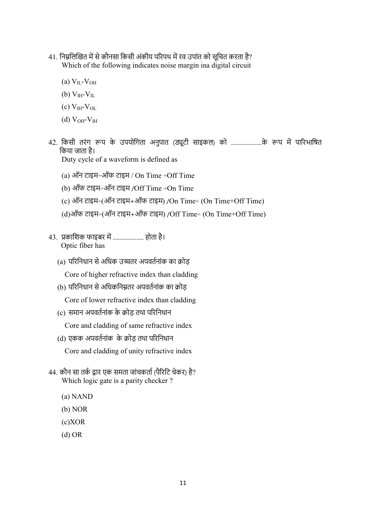- 41. निम्नलिखित में से कौनसा किसी अंकीय परिपथ में रव उपांत को सूचित करता है? Which of the following indicates noise margin ina digital circuit
	- (a)  $V_{II}$ - $V_{OH}$
	- (b)  $V_{\text{IH}}-V_{\text{IL}}$
	- (c)  $V_{\text{IH}}-V_{\text{OI}}$
	- (d)  $V_{OH}$ - $V_{IH}$
- 42. किसी तरंग रूप के उपयोगिता अनुपात (ड्यूटी साइकल) को .........................के रूप में पारिभाषित िकया जाता है।
	- Duty cycle of a waveform is defined as
	- (a) ऑन टाइम÷ऑफ टाइम / On Time ÷Off Time
	- (b) ऑफ टाइम÷ऑन टाइम /Off Time ÷On Time
	- (c) ऑन टाइम÷(ऑन टाइम+ऑफ टाइम) /On Time÷ (On Time+Off Time)
	- (d)ऑफ टाइम÷(ऑन टाइम+ऑफ टाइम) /Off Time÷ (On Time+Off Time)
- 43. प्रकाशिक फाइबर में ........................ होता है। Optic fiber has
	- (a) परिनिधान से अधिक उच्चतर अपवर्तनांक का क्रोड
		- Core of higher refractive index than cladding
	- (b) परिनिधान से अधिकनिम्नतर अपवर्तनांक का क्रोड
		- Core of lower refractive index than cladding
	- (c) समान अपवर्तनांक के क्रोड़ तथा परिनिधान

Core and cladding of same refractive index

(d) एकक अपवर्तनांक के क्रोड तथा परिनिधान

Core and cladding of unity refractive index

- 44. कौन सा तर्क द्वार एक समता जांचकर्ता (पैरिटि चेकर) है? Which logic gate is a parity checker?
	- (a) NAND
	- (b) NOR
	- (c)XOR
	- (d) OR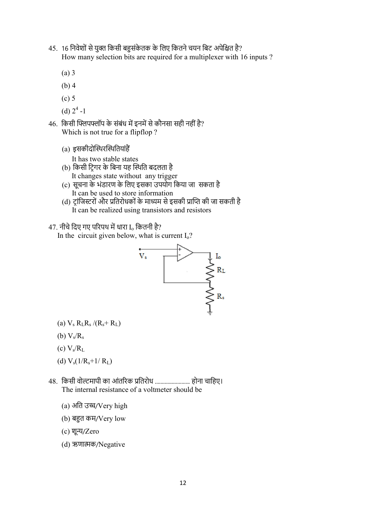- 45. 16 निवेशों से युक्त किसी बहुसंकेतक के लिए कितने चयन बिट अपेक्षित है? How many selection bits are required for a multiplexer with 16 inputs ?
	- (a) 3
	- (b) 4
	- (c) 5
	- (d)  $2^4$  -1
- 46. किसी फ्लिपफ्लॉप के संबंध में इनमें से कौनसा सही नहीं है? Which is not true for a flipflop ?
	- (a) इसकीदोथरथितयांह

It has two stable states

- (b) किसी टि़गर के बिना यह स्थिति बदलता है It changes state without any trigger
- (c) सूचना के भंडारण के िलए इसका उपयोग िकया जा सकता है It can be used to store information
- (d) ट्रांजिस्टरों और प्रतिरोधकों के माध्यम से इसकी प्राप्ति की जा सकती है It can be realized using transistors and resistors

## $47.$  नीचे दिए गए परिपथ में धारा I. कितनी है?



- (a)  $V_s R_L R_s / (R_s + R_L)$
- (b)  $V_s/R_s$
- (c)  $V_s/R_L$
- (d)  $V_s(1/R_s+1/R_L)$
- 48. किसी वोल्टमापी का आंतरिक प्रतिरोध ............................ होना चाहिए। The internal resistance of a voltmeter should be
	- (a) अति उच्च/Very high
	- (b) बहुत कम/ $V$ ery low
	- (c) शून्य/Zero
	- (d) ऋणाक/Negative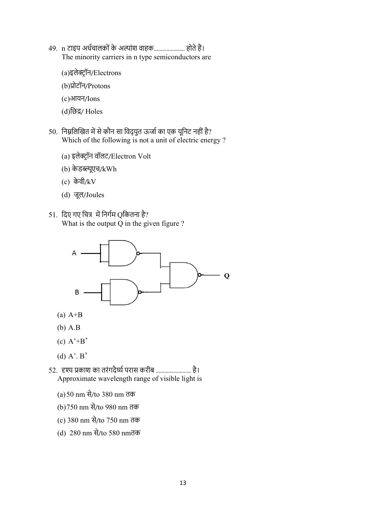- 49. n टाइप अर्धचालकों के अल्पांश वाहक....................... होते हैं। The minority carriers in n type semiconductors are
	- (a)इलेक्ट्रॉन/Electrons
	- (b)ोटॉन/Protons
	- (c)आयन/Ions
	- (d)िछ/ Holes
- 50. निम्नलिखित में से कौन सा विद्युत ऊर्जा का एक यूनिट नहीं है? Which of the following is not a unit of electric energy ?
	- (a) इलेक्ट्रॉन वॉलट/Electron Volt
	- (b) के डूएच/kWh
	- (c) के वी/kV
	- (d) जूल/Joules
- 51. दिए गए चित्र में निर्गम Oकितना है? What is the output Q in the given figure ?



- $(a)$  A+B
- (b) A.B
- $(c)$  A'+B'
- (d)  $A'$ .  $B'$
- 52. हश्य प्रकाश का तरंगदैर्घ्य परास करीब ................................ है। Approximate wavelength range of visible light is
	- (a)50 nm से/to 380 nm तक
	- (b)750 nm से/to 980 nm तक
	- (c) 380 nm से/to 750 nm तक
	- (d) 280 nm से/to 580 nmतक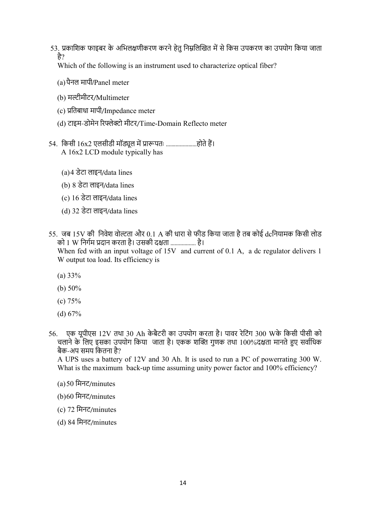53. प्रकाशिक फाइबर के अभिलक्षणीकरण करने हेतु निम्नलिखित में से किस उपकरण का उपयोग किया जाता है?

Which of the following is an instrument used to characterize optical fiber?

- (a)पैनल मापी/Panel meter
- (b) मल्टीमीटर/Multimeter
- (c) ितबाधा मापी/Impedance meter
- (d) टाइम-डोमेन रिफ्लेक्टो मीटर/Time-Domain Reflecto meter
- 54. किसी 16x2 एलसीडी मॉड्यूल में प्रारूपतः ........................होते हैं। A 16x2 LCD module typically has
	- (a)4 डेटा लाइन/data lines
	- (b) 8 डेटा लाइन/data lines
	- (c) 16 डेटा लाइन/data lines
	- (d) 32 डेटा लाइन/data lines
- 55. जब 15V की निवेश वोल्टता और 0.1 A की धारा से फीड किया जाता है तब कोई dcनियामक किसी लोड को 1 W निर्गम प्रदान करता है। उसकी दक्षता ................... है। When fed with an input voltage of 15V and current of 0.1 A, a dc regulator delivers 1 W output toa load. Its efficiency is
	- (a) 33%
	- (b) 50%
	- (c) 75%
	- (d) 67%
- 56. एक यूपीएस 12V तथा 30 Ah के बैटरी का उपयोग करता है। पावर रेिटंग 300 Wके िकसी पीसी को चलाने के लिए इसका उपयोग किया जाता है। एकक शक्ति गुणक तथा 100%दक्षता मानते हुए सर्वाधिक बैक-अप समय िकतना है?

A UPS uses a battery of 12V and 30 Ah. It is used to run a PC of powerrating 300 W. What is the maximum back-up time assuming unity power factor and 100% efficiency?

- (a)50 िमनट/minutes
- (b)60 िमनट/minutes
- (c) 72 िमनट/minutes
- (d) 84 िमनट/minutes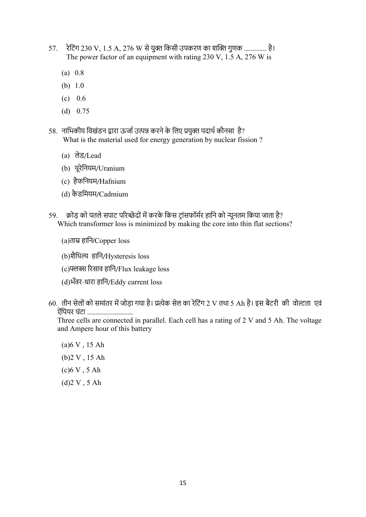- 57. रेटिंग 230 V, 1.5 A, 276 W से युक्त किसी उपकरण का शक्ति गुणक ................. है। The power factor of an equipment with rating 230 V, 1.5 A, 276 W is
	- (a) 0.8
	- (b) 1.0
	- $(c) 0.6$
	- (d) 0.75
- 58. नाभिकीय विखंडन द्वारा ऊर्जा उत्पन्न करने के लिए प्रयुक्त पदार्थ कौनसा है? What is the material used for energy generation by nuclear fission ?
	- (a) लेड/Lead
	- (b) यूरेिनयम/Uranium
	- (c) हैफिनयम/Hafnium
	- (d) कै डिमयम/Cadmium
- 59. क्रोड को पतले सपाट परिच्छेदों में करके किस टांसफॉर्मर हानि को न्यूनतम किया जाता है? Which transformer loss is minimized by making the core into thin flat sections?
	- (a)ताम्र हानि/Copper loss
	- (b)शैिथ हािन/Hysteresis loss
	- (c) रसाव हािन/Flux leakage loss
	- (d)भँवर-धारा हािन/Eddy current loss
- 60. तीन सेलों को समांतर में जोड़ा गया है। प्रत्येक सेल का रेटिंग 2 V तथा 5 Ah है। इस बैटरी की वोल्टता एवं ऐंपियर घंटा ..................................

Three cells are connected in parallel. Each cell has a rating of 2 V and 5 Ah. The voltage and Ampere hour of this battery

(a)6 V , 15 Ah (b)2 V , 15 Ah (c)6 V , 5 Ah (d)2 V , 5 Ah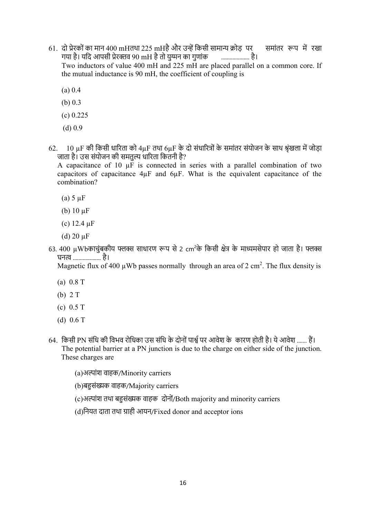61. दो प्रेरकों का मान 400 mHतथा 225 mHहै और उन्हें किसी सामान्य क्रोड़ पर समांतर रूप में रखा गया है। यदि आपसी प्रेरक्तव 90 mH है तो युग्मन का गुणांक ......................... है।

Two inductors of value 400 mH and 225 mH are placed parallel on a common core. If the mutual inductance is 90 mH, the coefficient of coupling is

- (a) 0.4
- (b) 0.3
- (c) 0.225
- (d) 0.9
- 62.  $\,$  10  $\,$ uF की किसी धारिता को 4 $\,$ uF तथा 6uF के दो संधारित्रों के समांतर संयोजन के साथ श्रृंखला में जोड़ा जाता है। उस संयोजन की समतुल्य धारिता कितनी है?

A capacitance of 10  $\mu$ F is connected in series with a parallel combination of two capacitors of capacitance 4µF and 6µF. What is the equivalent capacitance of the combination?

- (a)  $5 \mu$ F
- (b)  $10 \mu$ F
- (c) 12.4 µF
- (d)  $20 \mu F$
- 63. 400  $\mu$ Wbकाचुंबकीय फ्लक्स साधारण रूप से 2 cm<sup>2</sup>के किसी क्षेत्र के माध्यमसेपार हो जाता है। फ्लक्स घनत्व .................... है।

Magnetic flux of 400  $\mu$ Wb passes normally through an area of 2 cm<sup>2</sup>. The flux density is

- (a) 0.8 T
- (b) 2 T
- (c) 0.5 T
- (d) 0.6 T
- 64. िकसी PN संिध की िवभव रोिधका उस संिध के दोनोंपा पर आवेश के कारण होती है। ये आवेश ....... ह। The potential barrier at a PN junction is due to the charge on either side of the junction. These charges are
	- (a)अल्पांश वाहक/Minority carriers
	- (b)बसंक वाहक/Majority carriers
	- (c)अांश तथा बसंक वाहक दोनों/Both majority and minority carriers
	- (d)नियत दाता तथा ग्राही आयन/Fixed donor and acceptor ions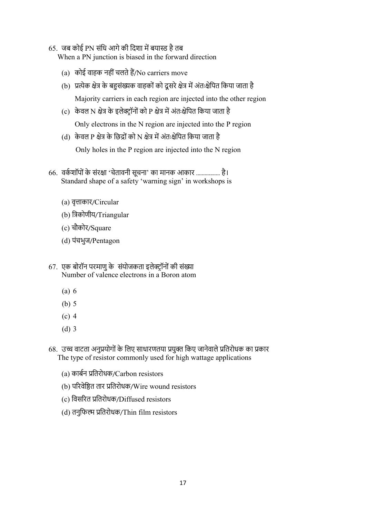65. जब कोई PN संधि आगे की दिशा में बयास्ड है तब

When a PN junction is biased in the forward direction

- (a) कोई वाहक नहीं चलते हैं/No carriers move
- (b) प्रत्येक क्षेत्र के बहुसंख्यक वाहकों को दूसरे क्षेत्र में अंतःक्षेपित किया जाता है Majority carriers in each region are injected into the other region
- (c) केवल N क्षेत्र के इलेक्टॉनों को P क्षेत्र में अंतःक्षेपित किया जाता है

Only electrons in the N region are injected into the P region

(d) केवल P क्षेत्र के छिद्रों को N क्षेत्र में अंतःक्षेपित किया जाता है

Only holes in the P region are injected into the N region

- 66. वर्कशॉपों के संरक्षा 'चेतावनी सूचना' का मानक आकार ................. है। Standard shape of a safety 'warning sign' in workshops is
	- (a) वृत्ताकार/Circular
	- (b) िकोणीय/Triangular
	- (c) चौकोर/Square
	- (d) पंचभुज/Pentagon
- 67. एक बोरॉन परमाणु के संयोजकता इलेक्ट्रॉनों की संख्या Number of valence electrons in a Boron atom
	- (a) 6
	- (b) 5
	- (c) 4
	- (d) 3
- 68. उच्च वाटता अनुप्रयोगों के लिए साधारणतया प्रयुक्त किए जानेवाले प्रतिरोधक का प्रकार The type of resistor commonly used for high wattage applications
	- (a) कार्बन प्रतिरोधक/Carbon resistors
	- (b) परिवेष्ठित तार प्रतिरोधक/Wire wound resistors
	- (c) विसरित प्रतिरोधक/Diffused resistors
	- (d) तनुफिल्म प्रतिरोधक/Thin film resistors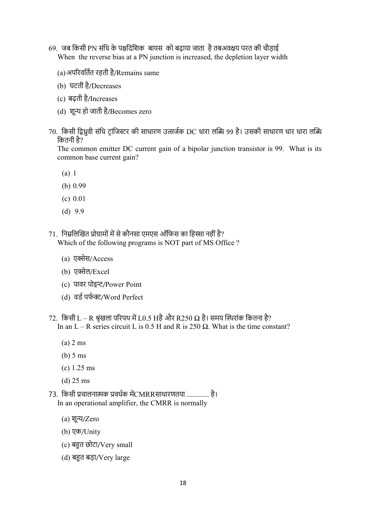- 69. जब किसी PN संधि के पश्चदिशिक बायस को बढ़ाया जाता है तबअवक्षय परत की चौड़ाई When the reverse bias at a PN junction is increased, the depletion layer width
	- (a)अपरवितत रहती है/Remains same
	- (b) घटती है/Decreases
	- (c) बढ़ती है/Increases
	- (d) शून्य हो जाती है/Becomes zero
- 70. किसी द्विध्रवी संधि ट़ांजिस्टर की साधारण उत्सर्जक DC धारा लब्धि 99 है। उसकी साधारण धार धारा लब्धि िकतनी है?

The common emitter DC current gain of a bipolar junction transistor is 99. What is its common base current gain?

- (a) 1
- (b) 0.99
- (c) 0.01
- (d) 9.9
- $71$  निम्नलिखित प्रोग्रामों में से कौनसा एमएस ऑफिस का हिस्सा नहीं है? Which of the following programs is NOT part of MS Office ?
	- (a) एक्सेस/Access
	- (b) एक्सेल/Excel
	- (c) पावर पोइन्ट/Power Point
	- (d) वर्ड पर्फक्ट/Word Perfect
- 72. किसी L − R श्रृंखला परिपथ में L0.5 Hहै और R250 Ω है। समय स्थिरांक कितना है? In an  $L - R$  series circuit L is 0.5 H and R is 250 Q. What is the time constant?
	- (a) 2 ms
	- (b) 5 ms
	- (c) 1.25 ms
	- (d) 25 ms
- 73. िकसी चालनाक वधक मCMRRसाधारणतया ................ है। In an operational amplifier, the CMRR is normally
	- $(a)$  शून्य/Zero
	- (b) एक/Unity
	- (c) बहुत छोटा/Very small
	- (d) बहुत बड़ा/Very large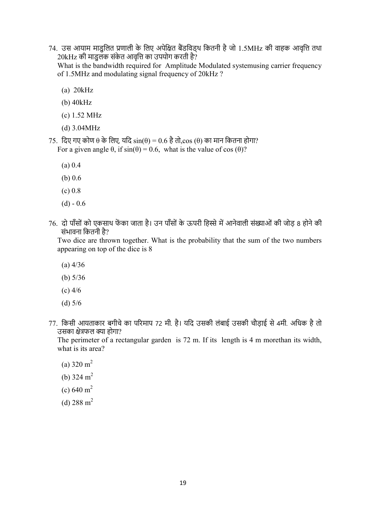74. उस आयाम माडुिलत णाली के िलए अपेित बडिवड्थ िकतनी है जो 1.5MHz की वाहक आवृि तथा 20kHz की माडुलक संकेत आवृत्ति का उपयोग करती है?

What is the bandwidth required for Amplitude Modulated systemusing carrier frequency of 1.5MHz and modulating signal frequency of 20kHz ?

- (a) 20kHz
- (b) 40kHz
- (c) 1.52 MHz
- (d) 3.04MHz
- 75. िदए गए कोण θ के िलए, यिद sin(θ) = 0.6 है तो,cos (θ) का मान िकतना होगा? For a given angle  $\theta$ , if  $sin(\theta) = 0.6$ , what is the value of cos ( $\theta$ )?
	- (a) 0.4
	- (b) 0.6
	- $(c) 0.8$
	- $(d) 0.6$
- 76. दो पाँसों को एकसाथ फेंका जाता है। उन पाँसों के ऊपरी हिस्से में आनेवाली संख्याओं की जोड़ 8 होने की संभावना कितनी है?

Two dice are thrown together. What is the probability that the sum of the two numbers appearing on top of the dice is 8

- (a) 4/36
- (b) 5/36
- (c) 4/6
- (d) 5/6
- 77. िकसी आयताकार बगीचे का परमाप 72 मी. है। यिद उसकी लंबाई उसकी चौड़ाई से 4मी. अिधक है तो उसका क्षेत्रफल क्या होगा?

The perimeter of a rectangular garden is 72 m. If its length is 4 m morethan its width, what is its area?

- (a)  $320 \text{ m}^2$
- (b)  $324 \text{ m}^2$
- (c)  $640 \text{ m}^2$
- (d)  $288 \text{ m}^2$